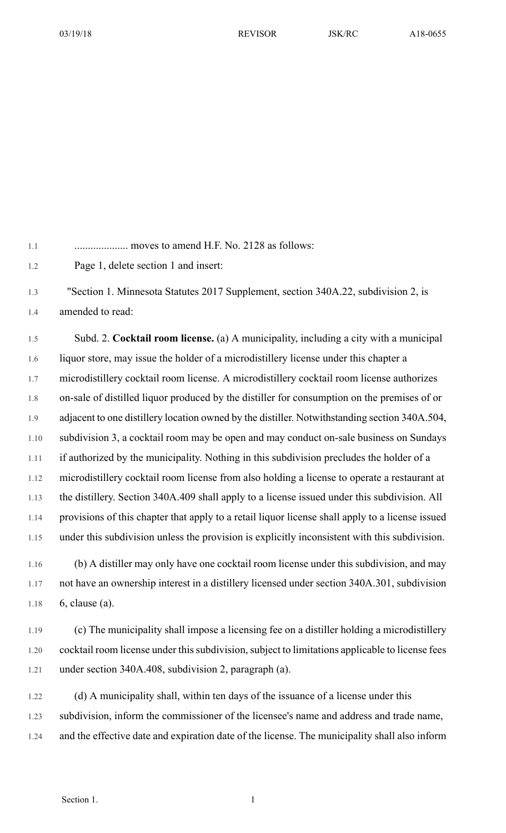1.1 .................... moves to amend H.F. No. 2128 as follows:

1.2 Page 1, delete section 1 and insert:

1.3 "Section 1. Minnesota Statutes 2017 Supplement, section 340A.22, subdivision 2, is 1.4 amended to read:

1.5 Subd. 2. **Cocktail room license.** (a) A municipality, including a city with a municipal 1.6 liquor store, may issue the holder of a microdistillery license under this chapter a 1.7 microdistillery cocktail room license. A microdistillery cocktail room license authorizes 1.8 on-sale of distilled liquor produced by the distiller for consumption on the premises of or 1.9 adjacent to one distillery location owned by the distiller. Notwithstanding section 340A.504, 1.10 subdivision 3, a cocktail room may be open and may conduct on-sale business on Sundays 1.11 if authorized by the municipality. Nothing in this subdivision precludes the holder of a 1.12 microdistillery cocktail room license from also holding a license to operate a restaurant at 1.13 the distillery. Section 340A.409 shall apply to a license issued under this subdivision. All 1.14 provisions of this chapter that apply to a retail liquor license shall apply to a license issued 1.15 under this subdivision unless the provision is explicitly inconsistent with this subdivision.

1.16 (b) A distiller may only have one cocktail room license under this subdivision, and may 1.17 not have an ownership interest in a distillery licensed under section 340A.301, subdivision 1.18 6, clause (a).

1.19 (c) The municipality shall impose a licensing fee on a distiller holding a microdistillery 1.20 cocktail room license under this subdivision, subject to limitations applicable to license fees 1.21 under section 340A.408, subdivision 2, paragraph (a).

1.22 (d) A municipality shall, within ten days of the issuance of a license under this 1.23 subdivision, inform the commissioner of the licensee's name and address and trade name, 1.24 and the effective date and expiration date of the license. The municipality shall also inform